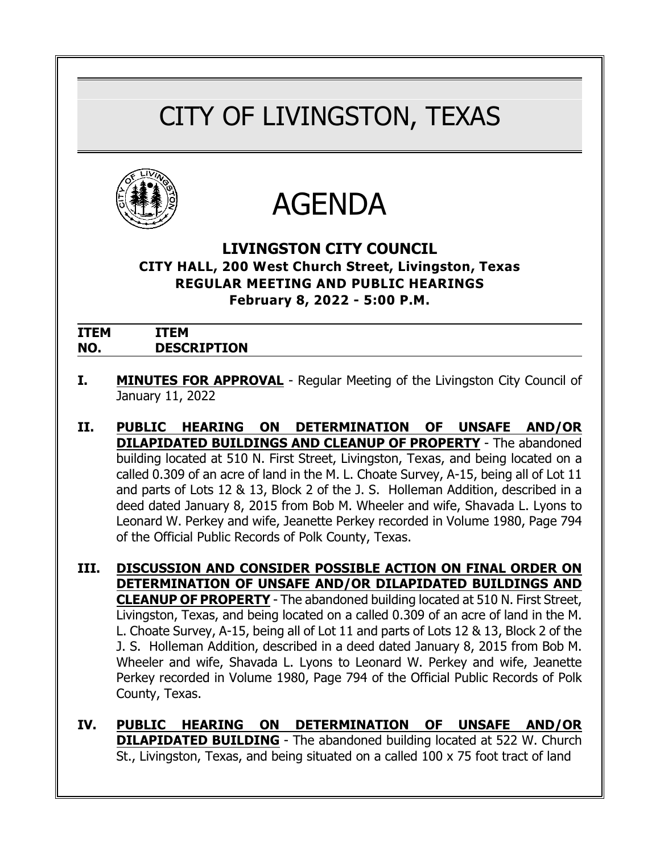# CITY OF LIVINGSTON, TEXAS





# **LIVINGSTON CITY COUNCIL**

**CITY HALL, 200 West Church Street, Livingston, Texas REGULAR MEETING AND PUBLIC HEARINGS February 8, 2022 - 5:00 P.M.**

| <b>ITEM</b> | EМ                 |
|-------------|--------------------|
| NO.         | <b>DESCRIPTION</b> |

- **I. MINUTES FOR APPROVAL** Regular Meeting of the Livingston City Council of January 11, 2022
- **II. PUBLIC HEARING ON DETERMINATION OF UNSAFE AND/OR DILAPIDATED BUILDINGS AND CLEANUP OF PROPERTY** - The abandoned building located at 510 N. First Street, Livingston, Texas, and being located on a called 0.309 of an acre of land in the M. L. Choate Survey, A-15, being all of Lot 11 and parts of Lots 12 & 13, Block 2 of the J. S. Holleman Addition, described in a deed dated January 8, 2015 from Bob M. Wheeler and wife, Shavada L. Lyons to Leonard W. Perkey and wife, Jeanette Perkey recorded in Volume 1980, Page 794 of the Official Public Records of Polk County, Texas.
- **III. DISCUSSION AND CONSIDER POSSIBLE ACTION ON FINAL ORDER ON DETERMINATION OF UNSAFE AND/OR DILAPIDATED BUILDINGS AND CLEANUP OF PROPERTY** - The abandoned building located at 510 N. First Street, Livingston, Texas, and being located on a called 0.309 of an acre of land in the M. L. Choate Survey, A-15, being all of Lot 11 and parts of Lots 12 & 13, Block 2 of the J. S. Holleman Addition, described in a deed dated January 8, 2015 from Bob M. Wheeler and wife, Shavada L. Lyons to Leonard W. Perkey and wife, Jeanette Perkey recorded in Volume 1980, Page 794 of the Official Public Records of Polk County, Texas.
- **IV. PUBLIC HEARING ON DETERMINATION OF UNSAFE AND/OR DILAPIDATED BUILDING** - The abandoned building located at 522 W. Church St., Livingston, Texas, and being situated on a called 100 x 75 foot tract of land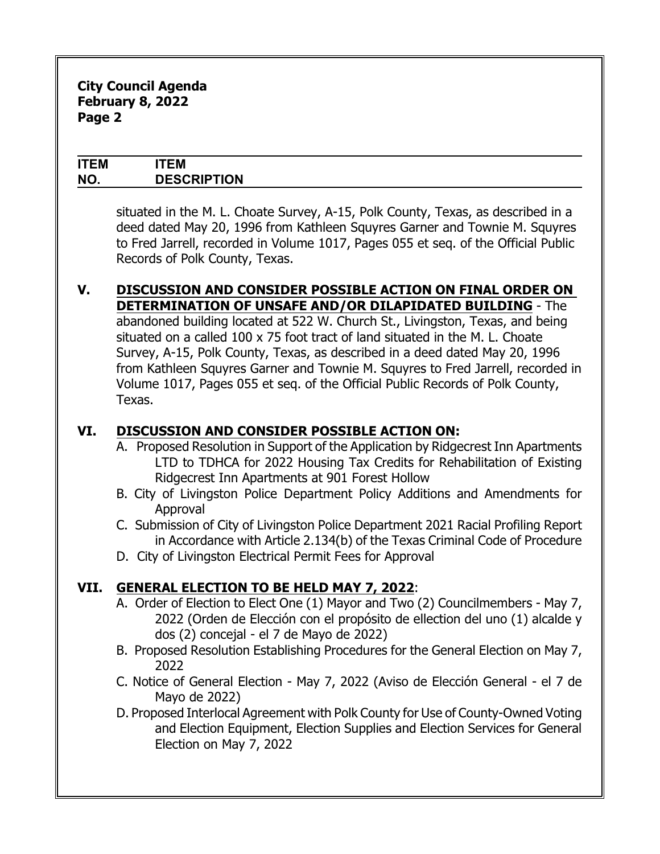#### **ITEM ITEM NO. DESCRIPTION**

situated in the M. L. Choate Survey, A-15, Polk County, Texas, as described in a deed dated May 20, 1996 from Kathleen Squyres Garner and Townie M. Squyres to Fred Jarrell, recorded in Volume 1017, Pages 055 et seq. of the Official Public Records of Polk County, Texas.

## **V. DISCUSSION AND CONSIDER POSSIBLE ACTION ON FINAL ORDER ON DETERMINATION OF UNSAFE AND/OR DILAPIDATED BUILDING** - The

abandoned building located at 522 W. Church St., Livingston, Texas, and being situated on a called 100 x 75 foot tract of land situated in the M. L. Choate Survey, A-15, Polk County, Texas, as described in a deed dated May 20, 1996 from Kathleen Squyres Garner and Townie M. Squyres to Fred Jarrell, recorded in Volume 1017, Pages 055 et seq. of the Official Public Records of Polk County, Texas.

# **VI. DISCUSSION AND CONSIDER POSSIBLE ACTION ON:**

- A. Proposed Resolution in Support of the Application by Ridgecrest Inn Apartments LTD to TDHCA for 2022 Housing Tax Credits for Rehabilitation of Existing Ridgecrest Inn Apartments at 901 Forest Hollow
- B. City of Livingston Police Department Policy Additions and Amendments for Approval
- C. Submission of City of Livingston Police Department 2021 Racial Profiling Report in Accordance with Article 2.134(b) of the Texas Criminal Code of Procedure
- D. City of Livingston Electrical Permit Fees for Approval

# **VII. GENERAL ELECTION TO BE HELD MAY 7, 2022**:

- A. Order of Election to Elect One (1) Mayor and Two (2) Councilmembers May 7, 2022 (*Orden de Elección con el propósito de ellection del uno (1) alcalde y dos (2) concejal - el 7 de Mayo de 2022)*
- B. Proposed Resolution Establishing Procedures for the General Election on May 7, 2022
- C. Notice of General Election May 7, 2022 *(Aviso de Elección General el 7 de Mayo de 2022)*
- D. Proposed Interlocal Agreement with Polk County for Use of County-Owned Voting and Election Equipment, Election Supplies and Election Services for General Election on May 7, 2022